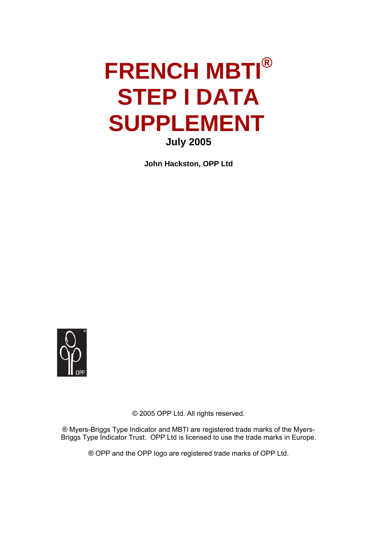# **FRENCH MBTI® STEP I DATA SUPPLEMENT July 2005**

**John Hackston, OPP Ltd** 



© 2005 OPP Ltd. All rights reserved.

® Myers-Briggs Type Indicator and MBTI are registered trade marks of the Myers-Briggs Type Indicator Trust. OPP Ltd is licensed to use the trade marks in Europe.

® OPP and the OPP logo are registered trade marks of OPP Ltd.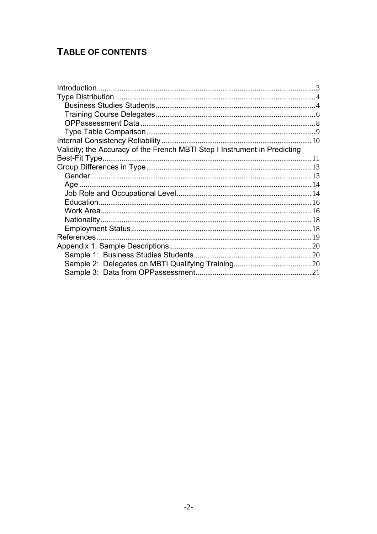## **TABLE OF CONTENTS**

| Validity; the Accuracy of the French MBTI Step I Instrument in Predicting |  |
|---------------------------------------------------------------------------|--|
| Best-Fit Type.                                                            |  |
|                                                                           |  |
|                                                                           |  |
|                                                                           |  |
|                                                                           |  |
|                                                                           |  |
|                                                                           |  |
|                                                                           |  |
|                                                                           |  |
|                                                                           |  |
|                                                                           |  |
|                                                                           |  |
|                                                                           |  |
|                                                                           |  |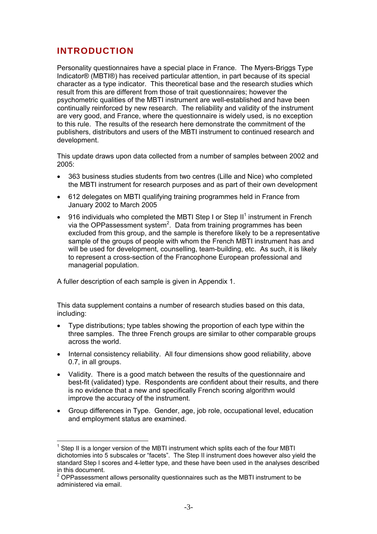## <span id="page-2-0"></span>**INTRODUCTION**

 $\overline{a}$ 

Personality questionnaires have a special place in France. The Myers-Briggs Type Indicator® (MBTI®) has received particular attention, in part because of its special character as a type indicator. This theoretical base and the research studies which result from this are different from those of trait questionnaires; however the psychometric qualities of the MBTI instrument are well-established and have been continually reinforced by new research. The reliability and validity of the instrument are very good, and France, where the questionnaire is widely used, is no exception to this rule. The results of the research here demonstrate the commitment of the publishers, distributors and users of the MBTI instrument to continued research and development.

This update draws upon data collected from a number of samples between 2002 and 2005:

- 363 business studies students from two centres (Lille and Nice) who completed the MBTI instrument for research purposes and as part of their own development
- 612 delegates on MBTI qualifying training programmes held in France from January 2002 to March 2005
- 916 individuals who completed the MBTI Step I or Step II<sup>1</sup> instrument in French via the OPPassessment system<sup>2</sup>[.](#page-2-2) Data from training programmes has been excluded from this group, and the sample is therefore likely to be a representative sample of the groups of people with whom the French MBTI instrument has and will be used for development, counselling, team-building, etc. As such, it is likely to represent a cross-section of the Francophone European professional and managerial population.

A fuller description of each sample is given in Appendix 1.

This data supplement contains a number of research studies based on this data, including:

- Type distributions; type tables showing the proportion of each type within the three samples. The three French groups are similar to other comparable groups across the world.
- Internal consistency reliability. All four dimensions show good reliability, above 0.7, in all groups.
- Validity. There is a good match between the results of the questionnaire and best-fit (validated) type. Respondents are confident about their results, and there is no evidence that a new and specifically French scoring algorithm would improve the accuracy of the instrument.
- Group differences in Type. Gender, age, job role, occupational level, education and employment status are examined.

<span id="page-2-1"></span> $1$  Step II is a longer version of the MBTI instrument which splits each of the four MBTI dichotomies into 5 subscales or "facets". The Step II instrument does however also yield the standard Step I scores and 4-letter type, and these have been used in the analyses described in this document.

<span id="page-2-2"></span> $2$  OPPassessment allows personality questionnaires such as the MBTI instrument to be administered via email.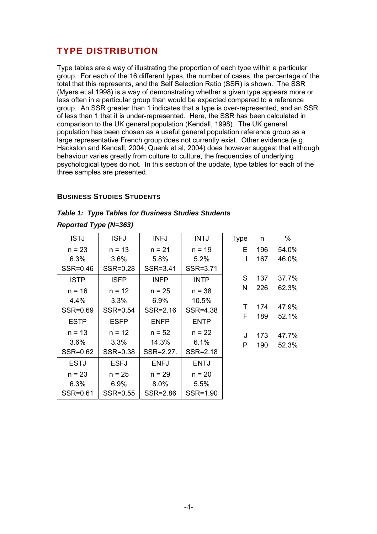## <span id="page-3-0"></span>**TYPE DISTRIBUTION**

Type tables are a way of illustrating the proportion of each type within a particular group. For each of the 16 different types, the number of cases, the percentage of the total that this represents, and the Self Selection Ratio (SSR) is shown. The SSR (Myers et al 1998) is a way of demonstrating whether a given type appears more or less often in a particular group than would be expected compared to a reference group. An SSR greater than 1 indicates that a type is over-represented, and an SSR of less than 1 that it is under-represented. Here, the SSR has been calculated in comparison to the UK general population (Kendall, 1998). The UK general population has been chosen as a useful general population reference group as a large representative French group does not currently exist. Other evidence (e.g. Hackston and Kendall, 2004; Quenk et al, 2004) does however suggest that although behaviour varies greatly from culture to culture, the frequencies of underlying psychological types do not. In this section of the update, type tables for each of the three samples are presented.

#### **BUSINESS STUDIES STUDENTS**

|                              |  | <b>Table 1: Type Tables for Business Studies Students</b> |  |
|------------------------------|--|-----------------------------------------------------------|--|
| <b>Reported Type (N=363)</b> |  |                                                           |  |

| <b>ISTJ</b> | <b>ISFJ</b> | <b>INFJ</b> | <b>INTJ</b> | <b>Type</b> | n   | %     |
|-------------|-------------|-------------|-------------|-------------|-----|-------|
| $n = 23$    | $n = 13$    | $n = 21$    | $n = 19$    | Е           | 196 | 54.0% |
| 6.3%        | 3.6%        | 5.8%        | 5.2%        | I           | 167 | 46.0% |
| SSR=0.46    | SSR=0.28    | SSR=3.41    | SSR=3.71    |             |     |       |
| <b>ISTP</b> | <b>ISFP</b> | <b>INFP</b> | <b>INTP</b> | S           | 137 | 37.7% |
| $n = 16$    | $n = 12$    | $n = 25$    | $n = 38$    | N           | 226 | 62.3% |
| 4.4%        | 3.3%        | 6.9%        | 10.5%       |             |     |       |
| SSR=0.69    | SSR=0.54    | SSR=2.16    | SSR=4.38    | T           | 174 | 47.9% |
| <b>ESTP</b> | <b>ESFP</b> | <b>ENFP</b> | <b>ENTP</b> | F           | 189 | 52.1% |
| $n = 13$    | $n = 12$    | $n = 52$    | $n = 22$    | J           | 173 | 47.7% |
| 3.6%        | 3.3%        | 14.3%       | 6.1%        | P           | 190 | 52.3% |
| SSR=0.62    | SSR=0.38    | SSR=2.27.   | SSR=2.18    |             |     |       |
| <b>ESTJ</b> | <b>ESFJ</b> | <b>ENFJ</b> | <b>ENTJ</b> |             |     |       |
| $n = 23$    | $n = 25$    | $n = 29$    | $n = 20$    |             |     |       |
| 6.3%        | 6.9%        | 8.0%        | 5.5%        |             |     |       |
| SSR=0.61    | SSR=0.55    | SSR=2.86    | SSR=1.90    |             |     |       |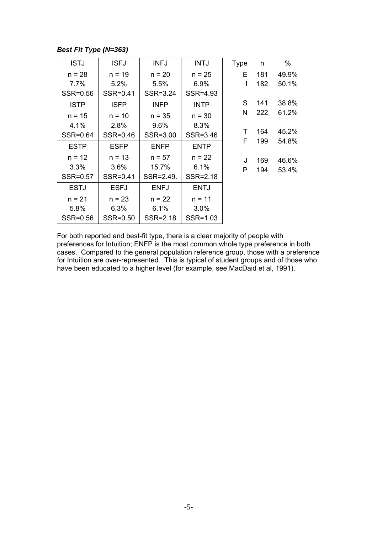#### *Best Fit Type (N=363)*

| <b>ISTJ</b> | <b>ISFJ</b> | <b>INFJ</b> | <b>INTJ</b> | <b>Type</b> | n   | $\%$  |
|-------------|-------------|-------------|-------------|-------------|-----|-------|
| $n = 28$    | $n = 19$    | $n = 20$    | $n = 25$    | Е           | 181 | 49.9% |
| 7.7%        | 5.2%        | 5.5%        | 6.9%        | I           | 182 | 50.1% |
| SSR=0.56    | SSR=0.41    | SSR=3.24    | SSR=4.93    |             |     |       |
| <b>ISTP</b> | <b>ISFP</b> | <b>INFP</b> | <b>INTP</b> | S           | 141 | 38.8% |
| $n = 15$    | $n = 10$    | $n = 35$    | $n = 30$    | Ν           | 222 | 61.2% |
| 4.1%        | 2.8%        | 9.6%        | 8.3%        |             |     |       |
| SSR=0.64    | SSR=0.46    | SSR=3.00    | SSR=3.46    | Τ           | 164 | 45.2% |
| <b>ESTP</b> | <b>ESFP</b> | <b>ENFP</b> | <b>ENTP</b> | F           | 199 | 54.8% |
| $n = 12$    | $n = 13$    | $n = 57$    | $n = 22$    | J           | 169 | 46.6% |
| 3.3%        | $3.6\%$     | 15.7%       | 6.1%        | P           | 194 | 53.4% |
| SSR=0.57    | SSR=0.41    | SSR=2.49.   | SSR=2.18    |             |     |       |
| <b>ESTJ</b> | <b>ESFJ</b> | <b>ENFJ</b> | <b>ENTJ</b> |             |     |       |
| $n = 21$    | $n = 23$    | $n = 22$    | $n = 11$    |             |     |       |
| 5.8%        | 6.3%        | 6.1%        | $3.0\%$     |             |     |       |
| SSR=0.56    | SSR=0.50    | SSR=2.18    | SSR=1.03    |             |     |       |

For both reported and best-fit type, there is a clear majority of people with preferences for Intuition; ENFP is the most common whole type preference in both cases. Compared to the general population reference group, those with a preference for Intuition are over-represented. This is typical of student groups and of those who have been educated to a higher level (for example, see MacDaid et al, 1991).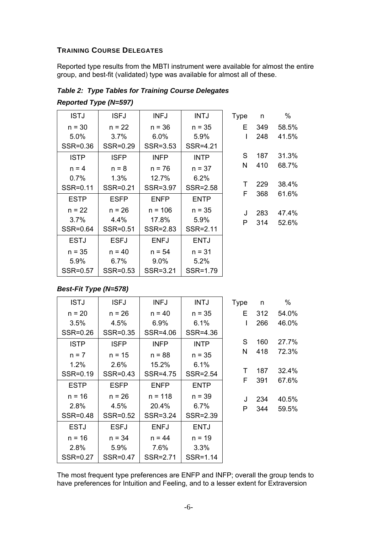#### <span id="page-5-0"></span>**TRAINING COURSE DELEGATES**

Reported type results from the MBTI instrument were available for almost the entire group, and best-fit (validated) type was available for almost all of these.

| <b>ISTJ</b> | <b>ISFJ</b> | <b>INFJ</b> | <b>INTJ</b> | <b>Type</b> | n   | %     |
|-------------|-------------|-------------|-------------|-------------|-----|-------|
| $n = 30$    | $n = 22$    | $n = 36$    | $n = 35$    | Е           | 349 | 58.5% |
| 5.0%        | 3.7%        | 6.0%        | 5.9%        | I           | 248 | 41.5% |
| SSR=0.36    | SSR=0.29    | SSR=3.53    | SSR=4.21    |             |     |       |
| <b>ISTP</b> | <b>ISFP</b> | <b>INFP</b> | <b>INTP</b> | S           | 187 | 31.3% |
| $n = 4$     | $n = 8$     | $n = 76$    | $n = 37$    | N           | 410 | 68.7% |
| 0.7%        | 1.3%        | 12.7%       | 6.2%        |             |     |       |
| SSR=0.11    | SSR=0.21    | SSR=3.97    | SSR=2.58    | т           | 229 | 38.4% |
| <b>ESTP</b> | <b>ESFP</b> | <b>ENFP</b> | <b>ENTP</b> | F           | 368 | 61.6% |
| $n = 22$    | $n = 26$    | $n = 106$   | $n = 35$    | J           | 283 | 47.4% |
| 3.7%        | 4.4%        | 17.8%       | 5.9%        | P           | 314 | 52.6% |
| SSR=0.64    | SSR=0.51    | SSR=2.83    | SSR=2.11    |             |     |       |
| <b>ESTJ</b> | <b>ESFJ</b> | <b>ENFJ</b> | <b>ENTJ</b> |             |     |       |
| $n = 35$    | $n = 40$    | $n = 54$    | $n = 31$    |             |     |       |
| 5.9%        | 6.7%        | $9.0\%$     | 5.2%        |             |     |       |
| SSR=0.57    | SSR=0.53    | SSR=3.21    | SSR=1.79    |             |     |       |

*Table 2: Type Tables for Training Course Delegates Reported Type (N=597)* 

#### *Best-Fit Type (N=578)*

| <b>ISTJ</b> | <b>ISFJ</b> | <b>INFJ</b> | <b>INTJ</b> | <b>Type</b> | n   | %     |
|-------------|-------------|-------------|-------------|-------------|-----|-------|
| $n = 20$    | $n = 26$    | $n = 40$    | $n = 35$    | E           | 312 | 54.0% |
| 3.5%        | 4.5%        | 6.9%        | 6.1%        | I           | 266 | 46.0% |
| SSR=0.26    | SSR=0.35    | SSR=4.06    | SSR=4.36    |             |     |       |
| <b>ISTP</b> | <b>ISFP</b> | <b>INFP</b> | <b>INTP</b> | S           | 160 | 27.7% |
| $n = 7$     | $n = 15$    | $n = 88$    | $n = 35$    | N           | 418 | 72.3% |
| 1.2%        | 2.6%        | 15.2%       | 6.1%        |             |     |       |
| SSR=0.19    | SSR=0.43    | SSR=4.75    | SSR=2.54    | Τ           | 187 | 32.4% |
| <b>ESTP</b> | <b>ESFP</b> | <b>ENFP</b> | <b>ENTP</b> | F           | 391 | 67.6% |
| $n = 16$    | $n = 26$    | $n = 118$   | $n = 39$    | J           | 234 | 40.5% |
| 2.8%        | 4.5%        | 20.4%       | 6.7%        | Р           | 344 | 59.5% |
| SSR=0.48    | SSR=0.52    | SSR=3.24    | SSR=2.39    |             |     |       |
| <b>ESTJ</b> | <b>ESFJ</b> | <b>ENFJ</b> | <b>ENTJ</b> |             |     |       |
| $n = 16$    | $n = 34$    | $n = 44$    | $n = 19$    |             |     |       |
| 2.8%        | 5.9%        | 7.6%        | 3.3%        |             |     |       |
| SSR=0.27    | SSR=0.47    | SSR=2.71    | SSR=1.14    |             |     |       |

The most frequent type preferences are ENFP and INFP; overall the group tends to have preferences for Intuition and Feeling, and to a lesser extent for Extraversion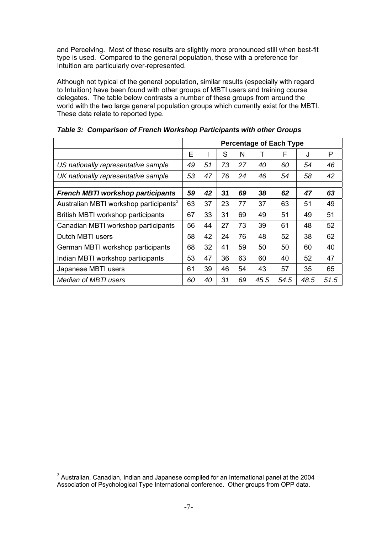and Perceiving. Most of these results are slightly more pronounced still when best-fit type is used. Compared to the general population, those with a preference for Intuition are particularly over-represented.

Although not typical of the general population, similar results (especially with regard to Intuition) have been found with other groups of MBTI users and training course delegates. The table below contrasts a number of these groups from around the world with the two large general population groups which currently exist for the MBTI. These data relate to reported type.

|                                                    | <b>Percentage of Each Type</b> |    |    |    |      |      |         |      |
|----------------------------------------------------|--------------------------------|----|----|----|------|------|---------|------|
|                                                    | E                              |    | S  | N  |      | F    | $\cdot$ | P    |
| US nationally representative sample                | 49                             | 51 | 73 | 27 | 40   | 60   | 54      | 46   |
| UK nationally representative sample                | 53                             | 47 | 76 | 24 | 46   | 54   | 58      | 42   |
|                                                    |                                |    |    |    |      |      |         |      |
| <b>French MBTI workshop participants</b>           | 59                             | 42 | 31 | 69 | 38   | 62   | 47      | 63   |
| Australian MBTI workshop participants <sup>3</sup> | 63                             | 37 | 23 | 77 | 37   | 63   | 51      | 49   |
| British MBTI workshop participants                 | 67                             | 33 | 31 | 69 | 49   | 51   | 49      | 51   |
| Canadian MBTI workshop participants                | 56                             | 44 | 27 | 73 | 39   | 61   | 48      | 52   |
| Dutch MBTI users                                   | 58                             | 42 | 24 | 76 | 48   | 52   | 38      | 62   |
| German MBTI workshop participants                  | 68                             | 32 | 41 | 59 | 50   | 50   | 60      | 40   |
| Indian MBTI workshop participants                  | 53                             | 47 | 36 | 63 | 60   | 40   | 52      | 47   |
| Japanese MBTI users                                | 61                             | 39 | 46 | 54 | 43   | 57   | 35      | 65   |
| Median of MBTI users                               | 60                             | 40 | 31 | 69 | 45.5 | 54.5 | 48.5    | 51.5 |

*Table 3: Comparison of French Workshop Participants with other Groups* 

<span id="page-6-0"></span> $\overline{a}$  $3$  Australian, Canadian, Indian and Japanese compiled for an International panel at the 2004 Association of Psychological Type International conference. Other groups from OPP data.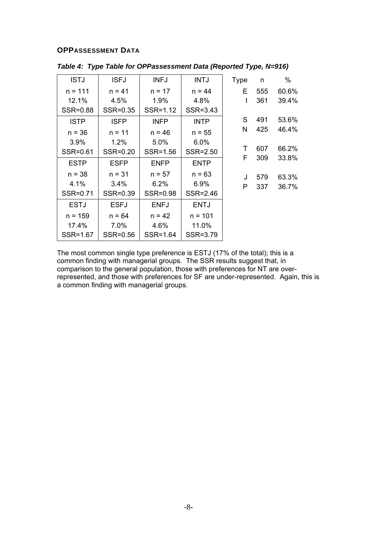#### <span id="page-7-0"></span>**OPPASSESSMENT DATA**

| <b>ISTJ</b> | <b>ISFJ</b> | <b>INFJ</b> | <b>INTJ</b> | <b>Type</b> | n   | $\%$  |
|-------------|-------------|-------------|-------------|-------------|-----|-------|
| $n = 111$   | $n = 41$    | $n = 17$    | $n = 44$    | Е           | 555 | 60.6% |
| 12.1%       | 4.5%        | 1.9%        | 4.8%        | I           | 361 | 39.4% |
| SSR=0.88    | SSR=0.35    | SSR=1.12    | SSR=3.43    |             |     |       |
| <b>ISTP</b> | <b>ISFP</b> | <b>INFP</b> | <b>INTP</b> | S           | 491 | 53.6% |
| $n = 36$    | $n = 11$    | $n = 46$    | $n = 55$    | N           | 425 | 46.4% |
| 3.9%        | 1.2%        | 5.0%        | 6.0%        |             |     |       |
| SSR=0.61    | SSR=0.20    | SSR=1.56    | SSR=2.50    | Τ           | 607 | 66.2% |
| <b>ESTP</b> | <b>ESFP</b> | <b>ENFP</b> | <b>ENTP</b> | F           | 309 | 33.8% |
| $n = 38$    | $n = 31$    | $n = 57$    | $n = 63$    | J           | 579 | 63.3% |
| 4.1%        | 3.4%        | 6.2%        | 6.9%        | P           | 337 | 36.7% |
| SSR=0.71    | SSR=0.39    | SSR=0.98    | SSR=2.46    |             |     |       |
| <b>ESTJ</b> | <b>ESFJ</b> | <b>ENFJ</b> | <b>ENTJ</b> |             |     |       |
| $n = 159$   | $n = 64$    | $n = 42$    | $n = 101$   |             |     |       |
| 17.4%       | 7.0%        | 4.6%        | 11.0%       |             |     |       |
| SSR=1.67    | SSR=0.56    | SSR=1.64    | SSR=3.79    |             |     |       |

*Table 4: Type Table for OPPassessment Data (Reported Type, N=916)* 

The most common single type preference is ESTJ (17% of the total); this is a common finding with managerial groups. The SSR results suggest that, in comparison to the general population, those with preferences for NT are overrepresented, and those with preferences for SF are under-represented. Again, this is a common finding with managerial groups.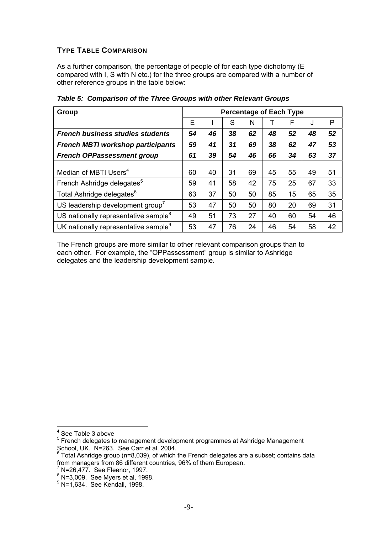#### <span id="page-8-0"></span>**TYPE TABLE COMPARISON**

As a further comparison, the percentage of people of for each type dichotomy (E compared with I, S with N etc.) for the three groups are compared with a number of other reference groups in the table below:

| Group                                            | <b>Percentage of Each Type</b> |    |    |    |    |    |    |    |
|--------------------------------------------------|--------------------------------|----|----|----|----|----|----|----|
|                                                  | Ε                              |    | S  | N  |    | F  | J  | P  |
| <b>French business studies students</b>          | 54                             | 46 | 38 | 62 | 48 | 52 | 48 | 52 |
| <b>French MBTI workshop participants</b>         |                                | 41 | 31 | 69 | 38 | 62 | 47 | 53 |
| <b>French OPPassessment group</b>                | 61                             | 39 | 54 | 46 | 66 | 34 | 63 | 37 |
|                                                  |                                |    |    |    |    |    |    |    |
| Median of MBTI Users <sup>4</sup>                | 60                             | 40 | 31 | 69 | 45 | 55 | 49 | 51 |
| French Ashridge delegates <sup>5</sup>           | 59                             | 41 | 58 | 42 | 75 | 25 | 67 | 33 |
| Total Ashridge delegates <sup>6</sup>            | 63                             | 37 | 50 | 50 | 85 | 15 | 65 | 35 |
| US leadership development group <sup>7</sup>     | 53                             | 47 | 50 | 50 | 80 | 20 | 69 | 31 |
| US nationally representative sample <sup>8</sup> | 49                             | 51 | 73 | 27 | 40 | 60 | 54 | 46 |
| UK nationally representative sample <sup>9</sup> | 53                             | 47 | 76 | 24 | 46 | 54 | 58 | 42 |

*Table 5: Comparison of the Three Groups with other Relevant Groups* 

The French groups are more similar to other relevant comparison groups than to each other. For example, the "OPPassessment" group is similar to Ashridge delegates and the leadership development sample.

<span id="page-8-1"></span><sup>&</sup>lt;sup>4</sup> See Table 3 above

<span id="page-8-2"></span> $5$  French delegates to management development programmes at Ashridge Management

<span id="page-8-3"></span>School, UK. N=263. See Carr et al, 2004.<br><sup>6</sup> Total Ashridge group (n=8,039), of which the French delegates are a subset; contains data from managers from 86 different countries, 96% of them European.

<span id="page-8-4"></span>

<sup>&</sup>lt;sup>7</sup> N=26,477. See Fleenor, 1997.<br><sup>8</sup> N=3,009. See Myers et al, 1998.<br><sup>9</sup> N=1,634. See Kendell, 1998.

<span id="page-8-6"></span><span id="page-8-5"></span> $^9$  N=1,634. See Kendall, 1998.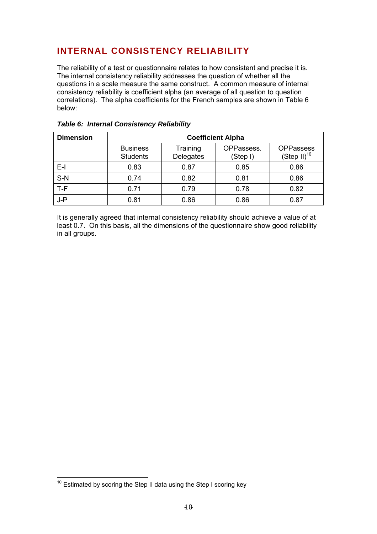## <span id="page-9-0"></span>**INTERNAL CONSISTENCY RELIABILITY**

The reliability of a test or questionnaire relates to how consistent and precise it is. The internal consistency reliability addresses the question of whether all the questions in a scale measure the same construct. A common measure of internal consistency reliability is coefficient alpha (an average of all question to question correlations). The alpha coefficients for the French samples are shown in Table 6 below:

| <b>Dimension</b> | <b>Coefficient Alpha</b>           |                       |                        |                                      |  |  |  |
|------------------|------------------------------------|-----------------------|------------------------|--------------------------------------|--|--|--|
|                  | <b>Business</b><br><b>Students</b> | Training<br>Delegates | OPPassess.<br>(Step I) | <b>OPPassess</b><br>$(Step II)^{10}$ |  |  |  |
| $E-I$            | 0.83                               | 0.87                  | 0.85                   | 0.86                                 |  |  |  |
| $S-N$            | 0.74                               | 0.82                  | 0.81                   | 0.86                                 |  |  |  |
| $T-F$            | 0.71                               | 0.79                  | 0.78                   | 0.82                                 |  |  |  |
| $J - P$          | 0.81                               | 0.86                  | 0.86                   | 0.87                                 |  |  |  |

#### *Table 6: Internal Consistency Reliability*

It is generally agreed that internal consistency reliability should achieve a value of at least 0.7. On this basis, all the dimensions of the questionnaire show good reliability in all groups.

<span id="page-9-1"></span> $10$  Estimated by scoring the Step II data using the Step I scoring key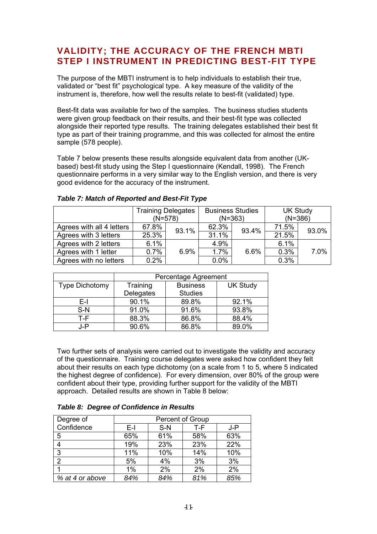## <span id="page-10-0"></span>**VALIDITY; THE ACCURACY OF THE FRENCH MBTI STEP I INSTRUMENT IN PREDICTING BEST-FIT TYPE**

The purpose of the MBTI instrument is to help individuals to establish their true, validated or "best fit" psychological type. A key measure of the validity of the instrument is, therefore, how well the results relate to best-fit (validated) type.

Best-fit data was available for two of the samples. The business studies students were given group feedback on their results, and their best-fit type was collected alongside their reported type results. The training delegates established their best fit type as part of their training programme, and this was collected for almost the entire sample (578 people).

Table 7 below presents these results alongside equivalent data from another (UKbased) best-fit study using the Step I questionnaire (Kendall, 1998). The French questionnaire performs in a very similar way to the English version, and there is very good evidence for the accuracy of the instrument.

|                           | <b>Training Delegates</b> | $(N=578)$ |       | <b>Business Studies</b><br>$(N=363)$ |       | <b>UK Study</b><br>$(N=386)$ |  |
|---------------------------|---------------------------|-----------|-------|--------------------------------------|-------|------------------------------|--|
| Agrees with all 4 letters | 67.8%                     | 93.1%     | 62.3% | 93.4%                                | 71.5% | 93.0%                        |  |
| Agrees with 3 letters     | 25.3%                     |           | 31.1% |                                      | 21.5% |                              |  |
| Agrees with 2 letters     | 6.1%                      |           | 4.9%  |                                      | 6.1%  |                              |  |
| Agrees with 1 letter      | 0.7%                      | 6.9%      | 1.7%  | 6.6%                                 | 0.3%  | 7.0%                         |  |
| Agrees with no letters    | 0.2%                      |           | 0.0%  |                                      | 0.3%  |                              |  |

#### *Table 7: Match of Reported and Best-Fit Type*

|                       | Percentage Agreement |                 |                 |  |  |  |
|-----------------------|----------------------|-----------------|-----------------|--|--|--|
| <b>Type Dichotomy</b> | Training             | <b>Business</b> | <b>UK Study</b> |  |  |  |
|                       | Delegates            | <b>Studies</b>  |                 |  |  |  |
| E-I                   | 90.1%                | 89.8%           | 92.1%           |  |  |  |
| $S-N$                 | 91.0%                | 91.6%           | 93.8%           |  |  |  |
| T-F                   | 88.3%                | 86.8%           | 88.4%           |  |  |  |
| J-P                   | 90.6%                | 86.8%           | 89.0%           |  |  |  |

Two further sets of analysis were carried out to investigate the validity and accuracy of the questionnaire. Training course delegates were asked how confident they felt about their results on each type dichotomy (on a scale from 1 to 5, where 5 indicated the highest degree of confidence). For every dimension, over 80% of the group were confident about their type, providing further support for the validity of the MBTI approach. Detailed results are shown in Table 8 below:

| Degree of       | Percent of Group |       |     |     |
|-----------------|------------------|-------|-----|-----|
| Confidence      | $E-I$            | $S-N$ | T-F | J-P |
| 5               | 65%              | 61%   | 58% | 63% |
|                 | 19%              | 23%   | 23% | 22% |
| 3               | 11%              | 10%   | 14% | 10% |
| 2               | 5%               | 4%    | 3%  | 3%  |
|                 | 1%               | 2%    | 2%  | 2%  |
| % at 4 or above | 84%              | 84%   | 81% | 85% |

*Table 8: Degree of Confidence in Results*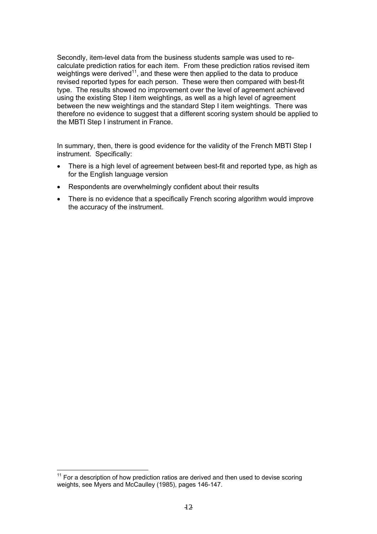Secondly, item-level data from the business students sample was used to recalculate prediction ratios for each item. From these prediction ratios revised item weightings were derived<sup>11</sup>, and these were then applied to the data to produce revised reported types for each person. These were then compared with best-fit type. The results showed no improvement over the level of agreement achieved using the existing Step I item weightings, as well as a high level of agreement between the new weightings and the standard Step I item weightings. There was therefore no evidence to suggest that a different scoring system should be applied to the MBTI Step I instrument in France.

In summary, then, there is good evidence for the validity of the French MBTI Step I instrument. Specifically:

- There is a high level of agreement between best-fit and reported type, as high as for the English language version
- Respondents are overwhelmingly confident about their results
- There is no evidence that a specifically French scoring algorithm would improve the accuracy of the instrument.

<span id="page-11-0"></span> $11$  For a description of how prediction ratios are derived and then used to devise scoring weights, see Myers and McCaulley (1985), pages 146-147.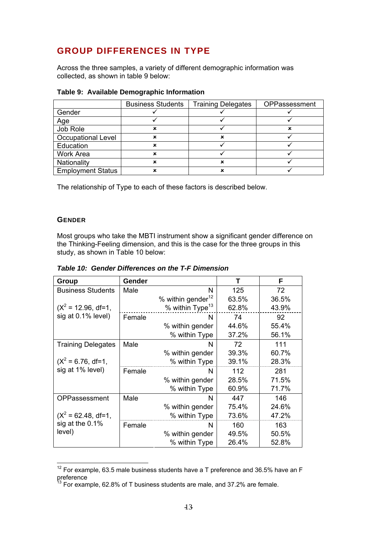## <span id="page-12-0"></span>**GROUP DIFFERENCES IN TYPE**

Across the three samples, a variety of different demographic information was collected, as shown in table 9 below:

|                          | <b>Business Students</b> | <b>Training Delegates</b> | OPPassessment |
|--------------------------|--------------------------|---------------------------|---------------|
| Gender                   |                          |                           |               |
| Age                      |                          |                           |               |
| Job Role                 |                          |                           |               |
| Occupational Level       |                          | ×                         |               |
| Education                |                          |                           |               |
| Work Area                |                          |                           |               |
| Nationality              | ×                        | ×                         |               |
| <b>Employment Status</b> |                          |                           |               |

The relationship of Type to each of these factors is described below.

#### **GENDER**

 $\overline{a}$ 

Most groups who take the MBTI instrument show a significant gender difference on the Thinking-Feeling dimension, and this is the case for the three groups in this study, as shown in Table 10 below:

*Table 10: Gender Differences on the T-F Dimension* 

| Group                     | Gender |                               | т     | F     |
|---------------------------|--------|-------------------------------|-------|-------|
| <b>Business Students</b>  | Male   | N                             | 125   | 72    |
|                           |        | % within gender <sup>12</sup> | 63.5% | 36.5% |
| $(X^2 = 12.96, df=1,$     |        | $%$ within Type <sup>13</sup> | 62.8% | 43.9% |
| sig at 0.1% level)        | Female | N                             | 74    | 92    |
|                           |        | % within gender               | 44.6% | 55.4% |
|                           |        | % within Type                 | 37.2% | 56.1% |
| <b>Training Delegates</b> | Male   | N                             | 72    | 111   |
|                           |        | % within gender               | 39.3% | 60.7% |
| $(X^2 = 6.76, df=1,$      |        | % within Type                 | 39.1% | 28.3% |
| sig at 1% level)          | Female | N                             | 112   | 281   |
|                           |        | % within gender               | 28.5% | 71.5% |
|                           |        | % within Type                 | 60.9% | 71.7% |
| OPPassessment             | Male   | N                             | 447   | 146   |
|                           |        | % within gender               | 75.4% | 24.6% |
| $(X^2 = 62.48, df=1,$     |        | % within Type                 | 73.6% | 47.2% |
| sig at the 0.1%           | Female | N                             | 160   | 163   |
| level)                    |        | % within gender               | 49.5% | 50.5% |
|                           |        | % within Type                 | 26.4% | 52.8% |

<span id="page-12-1"></span> $12$  For example, 63.5 male business students have a T preference and 36.5% have an F preference

<span id="page-12-2"></span> $^{13}$  For example, 62.8% of T business students are male, and 37.2% are female.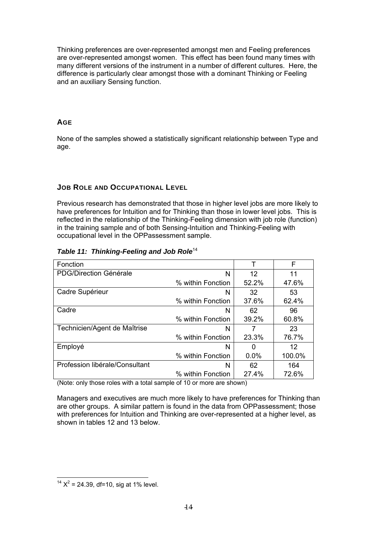<span id="page-13-0"></span>Thinking preferences are over-represented amongst men and Feeling preferences are over-represented amongst women. This effect has been found many times with many different versions of the instrument in a number of different cultures. Here, the difference is particularly clear amongst those with a dominant Thinking or Feeling and an auxiliary Sensing function.

#### **AGE**

None of the samples showed a statistically significant relationship between Type and age.

#### **JOB ROLE AND OCCUPATIONAL LEVEL**

Previous research has demonstrated that those in higher level jobs are more likely to have preferences for Intuition and for Thinking than those in lower level jobs. This is reflected in the relationship of the Thinking-Feeling dimension with job role (function) in the training sample and of both Sensing-Intuition and Thinking-Feeling with occupational level in the OPPassessment sample.

| Table 11: Thinking-Feeling and Job Role <sup>14</sup> |  |  |  |  |  |  |
|-------------------------------------------------------|--|--|--|--|--|--|
|-------------------------------------------------------|--|--|--|--|--|--|

| Fonction                       |                   |         | F      |
|--------------------------------|-------------------|---------|--------|
| PDG/Direction Générale         | Ν                 | 12      | 11     |
|                                | % within Fonction | 52.2%   | 47.6%  |
| Cadre Supérieur                | N                 | 32      | 53     |
|                                | % within Fonction | 37.6%   | 62.4%  |
| Cadre                          | N                 | 62      | 96     |
|                                | % within Fonction | 39.2%   | 60.8%  |
| Technicien/Agent de Maîtrise   | N                 | 7       | 23     |
|                                | % within Fonction | 23.3%   | 76.7%  |
| Employé                        | N                 | ŋ       | 12     |
|                                | % within Fonction | $0.0\%$ | 100.0% |
| Profession libérale/Consultant | N                 | 62      | 164    |
|                                | % within Fonction | 27.4%   | 72.6%  |

(Note: only those roles with a total sample of 10 or more are shown)

Managers and executives are much more likely to have preferences for Thinking than are other groups. A similar pattern is found in the data from OPPassessment; those with preferences for Intuition and Thinking are over-represented at a higher level, as shown in tables 12 and 13 below.

<span id="page-13-1"></span> $\overline{a}$  $14 X^2 = 24.39$ , df=10, sig at 1% level.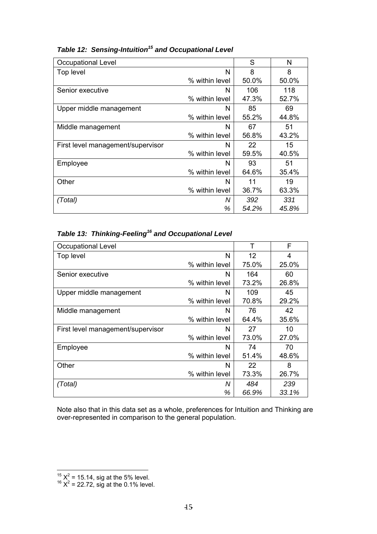| <b>Occupational Level</b>         |                | S     | N     |
|-----------------------------------|----------------|-------|-------|
| Top level                         | N              | 8     | 8     |
|                                   | % within level | 50.0% | 50.0% |
| Senior executive                  | N              | 106   | 118   |
|                                   | % within level | 47.3% | 52.7% |
| Upper middle management           | N              | 85    | 69    |
|                                   | % within level | 55.2% | 44.8% |
| Middle management                 | N              | 67    | 51    |
|                                   | % within level | 56.8% | 43.2% |
| First level management/supervisor | N              | 22    | 15    |
|                                   | % within level | 59.5% | 40.5% |
| Employee                          | N              | 93    | 51    |
|                                   | % within level | 64.6% | 35.4% |
| Other                             | N              | 11    | 19    |
|                                   | % within level | 36.7% | 63.3% |
| (Total)                           | Ν              | 392   | 331   |
|                                   | ℅              | 54.2% | 45.8% |

# *Table 12: Sensing-Intuition[15](#page-14-0) and Occupational Level*

|  | Table 13: Thinking-Feeling <sup>16</sup> and Occupational Level |  |  |
|--|-----------------------------------------------------------------|--|--|
|--|-----------------------------------------------------------------|--|--|

| <b>Occupational Level</b>         |                | т     | F     |
|-----------------------------------|----------------|-------|-------|
| Top level                         | N              | 12    | 4     |
|                                   | % within level | 75.0% | 25.0% |
| Senior executive                  | N              | 164   | 60    |
|                                   | % within level | 73.2% | 26.8% |
| Upper middle management           | N              | 109   | 45    |
|                                   | % within level | 70.8% | 29.2% |
| Middle management                 | N              | 76    | 42    |
|                                   | % within level | 64.4% | 35.6% |
| First level management/supervisor | N              | 27    | 10    |
|                                   | % within level | 73.0% | 27.0% |
| Employee                          | N              | 74    | 70    |
|                                   | % within level | 51.4% | 48.6% |
| Other                             | N              | 22    | 8     |
|                                   | % within level | 73.3% | 26.7% |
| (Total)                           | N              | 484   | 239   |
|                                   | %              | 66.9% | 33.1% |

Note also that in this data set as a whole, preferences for Intuition and Thinking are over-represented in comparison to the general population.

<span id="page-14-0"></span><sup>&</sup>lt;sup>15</sup>  $X^2$  = 15.14, sig at the 5% level.<br><sup>16</sup>  $X^2$  = 22.72, sig at the 0.1% level.

<span id="page-14-1"></span>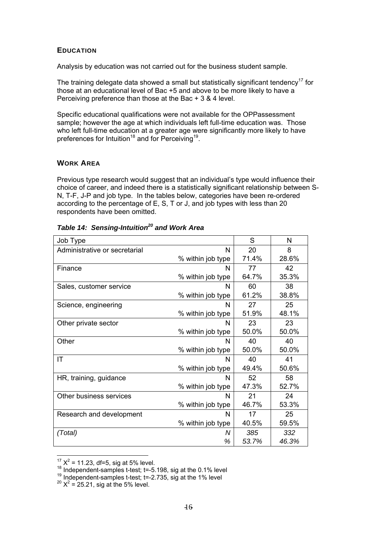#### <span id="page-15-0"></span>**EDUCATION**

Analysis by education was not carried out for the business student sample.

The training delegate data showed a small but statistically significant tendency<sup>17</sup> for those at an educational level of Bac +5 and above to be more likely to have a Perceiving preference than those at the Bac + 3 & 4 level.

Specific educational qualifications were not available for the OPPassessment sample; however the age at which individuals left full-time education was. Those who left full-time education at a greater age were significantly more likely to have preferences for Intuition<sup>18</sup> and for Perceiving<sup>19</sup>.

#### **WORK AREA**

Previous type research would suggest that an individual's type would influence their choice of career, and indeed there is a statistically significant relationship between S-N, T-F, J-P and job type. In the tables below, categories have been re-ordered according to the percentage of E, S, T or J, and job types with less than 20 respondents have been omitted.

| Job Type                      |                   | S     | N     |
|-------------------------------|-------------------|-------|-------|
| Administrative or secretarial | N                 | 20    | 8     |
|                               | % within job type | 71.4% | 28.6% |
| Finance                       | N                 | 77    | 42    |
|                               | % within job type | 64.7% | 35.3% |
| Sales, customer service       | N                 | 60    | 38    |
|                               | % within job type | 61.2% | 38.8% |
| Science, engineering          | N                 | 27    | 25    |
|                               | % within job type | 51.9% | 48.1% |
| Other private sector          | N                 | 23    | 23    |
|                               | % within job type | 50.0% | 50.0% |
| Other                         | N                 | 40    | 40    |
|                               | % within job type | 50.0% | 50.0% |
| ΙT                            | N                 | 40    | 41    |
|                               | % within job type | 49.4% | 50.6% |
| HR, training, guidance        | N                 | 52    | 58    |
|                               | % within job type | 47.3% | 52.7% |
| Other business services       | N                 | 21    | 24    |
|                               | % within job type | 46.7% | 53.3% |
| Research and development      | N                 | 17    | 25    |
|                               | % within job type | 40.5% | 59.5% |
| (Total)                       | Ν                 | 385   | 332   |
|                               | %                 | 53.7% | 46.3% |

|  | Table 14: Sensing-Intuition <sup>20</sup> and Work Area |  |  |
|--|---------------------------------------------------------|--|--|
|--|---------------------------------------------------------|--|--|

<span id="page-15-1"></span> $17 X^2$  = 11.23, df=5, sig at 5% level.

<span id="page-15-2"></span><sup>18</sup> Independent-samples t-test; t=-5.198, sig at the 0.1% level<br><sup>19</sup> Independent-samples t-test; t=-2.735, sig at the 1% level

<span id="page-15-3"></span>

<span id="page-15-4"></span> $20 \text{ X}^2 = 25.21$ , sig at the 5% level.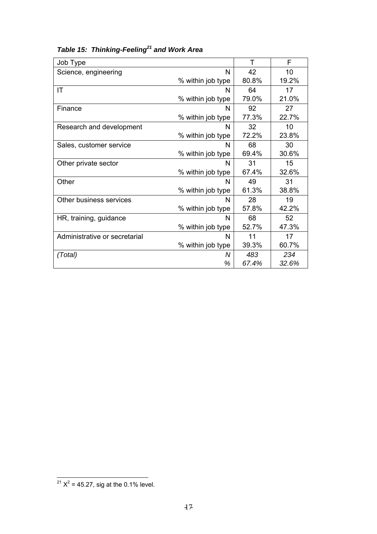| Job Type                      |                   | т     | F     |
|-------------------------------|-------------------|-------|-------|
| Science, engineering          | N                 | 42    | 10    |
|                               | % within job type | 80.8% | 19.2% |
| IT                            | N                 | 64    | 17    |
|                               | % within job type | 79.0% | 21.0% |
| Finance                       | N                 | 92    | 27    |
|                               | % within job type | 77.3% | 22.7% |
| Research and development      | N                 | 32    | 10    |
|                               | % within job type | 72.2% | 23.8% |
| Sales, customer service       | N                 | 68    | 30    |
|                               | % within job type | 69.4% | 30.6% |
| Other private sector          | N                 | 31    | 15    |
|                               | % within job type | 67.4% | 32.6% |
| Other                         | N                 | 49    | 31    |
|                               | % within job type | 61.3% | 38.8% |
| Other business services       | N                 | 28    | 19    |
|                               | % within job type | 57.8% | 42.2% |
| HR, training, guidance        | N                 | 68    | 52    |
|                               | % within job type | 52.7% | 47.3% |
| Administrative or secretarial | N                 | 11    | 17    |
|                               | % within job type | 39.3% | 60.7% |
| (Total)                       | Ν                 | 483   | 234   |
|                               | %                 | 67.4% | 32.6% |

# *Table 15: Thinking-Feeling[21](#page-16-0) and Work Area*

<span id="page-16-0"></span> $\overline{a}$  $2^{21}$  X<sup>2</sup> = 45.27, sig at the 0.1% level.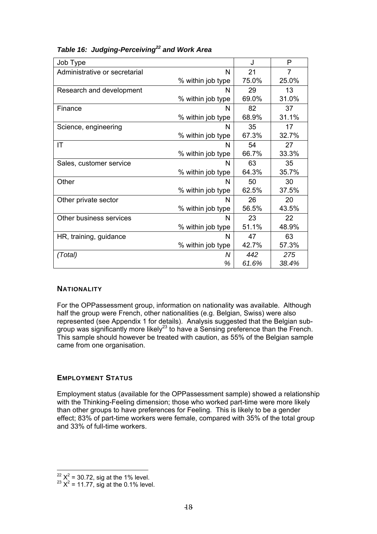| Job Type                      |                   | J     | P     |
|-------------------------------|-------------------|-------|-------|
| Administrative or secretarial | N                 | 21    | 7     |
|                               | % within job type | 75.0% | 25.0% |
| Research and development      | N                 | 29    | 13    |
|                               | % within job type | 69.0% | 31.0% |
| Finance                       | N                 | 82    | 37    |
|                               | % within job type | 68.9% | 31.1% |
| Science, engineering          | N                 | 35    | 17    |
|                               | % within job type | 67.3% | 32.7% |
| IT                            | N                 | 54    | 27    |
|                               | % within job type | 66.7% | 33.3% |
| Sales, customer service       | N                 | 63    | 35    |
|                               | % within job type | 64.3% | 35.7% |
| Other                         | N                 | 50    | 30    |
|                               | % within job type | 62.5% | 37.5% |
| Other private sector          | N                 | 26    | 20    |
|                               | % within job type | 56.5% | 43.5% |
| Other business services       | N                 | 23    | 22    |
|                               | % within job type | 51.1% | 48.9% |
| HR, training, guidance        | N                 | 47    | 63    |
|                               | % within job type | 42.7% | 57.3% |
| (Total)                       | N                 | 442   | 275   |
|                               | %                 | 61.6% | 38.4% |

#### <span id="page-17-0"></span>*Table 16: Judging-Perceiving[22](#page-17-1) and Work Area*

#### **NATIONALITY**

For the OPPassessment group, information on nationality was available. Although half the group were French, other nationalities (e.g. Belgian, Swiss) were also represented (see Appendix 1 for details). Analysis suggested that the Belgian subgroup was significantly more likely<sup>23</sup> to have a Sensing preference than the French. This sample should however be treated with caution, as 55% of the Belgian sample came from one organisation.

#### **EMPLOYMENT STATUS**

Employment status (available for the OPPassessment sample) showed a relationship with the Thinking-Feeling dimension; those who worked part-time were more likely than other groups to have preferences for Feeling. This is likely to be a gender effect; 83% of part-time workers were female, compared with 35% of the total group and 33% of full-time workers.

<span id="page-17-1"></span> $^{22}$  X<sup>2</sup> = 30.72, sig at the 1% level.<br><sup>23</sup> X<sup>2</sup> = 11.77, sig at the 0.1% level.

<span id="page-17-2"></span>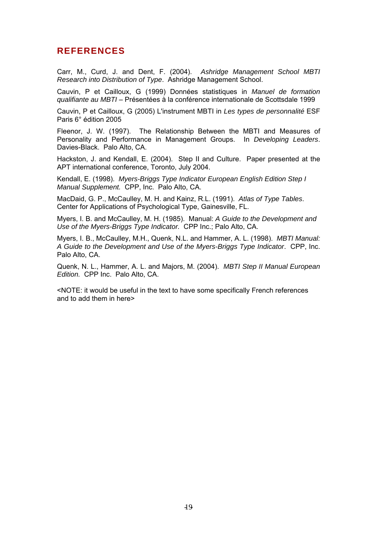### <span id="page-18-0"></span>**REFERENCES**

Carr, M., Curd, J. and Dent, F. (2004). *Ashridge Management School MBTI Research into Distribution of Type*. Ashridge Management School.

Cauvin, P et Cailloux, G (1999) Données statistiques in *Manuel de formation qualifiante au MBTI* – Présentées à la conférence internationale de Scottsdale 1999

Cauvin, P et Cailloux, G (2005) L'instrument MBTI in *Les types de personnalité* ESF Paris 6° édition 2005

Fleenor, J. W. (1997). The Relationship Between the MBTI and Measures of Personality and Performance in Management Groups. In *Developing Leaders*. Davies-Black. Palo Alto, CA.

Hackston, J. and Kendall, E. (2004). Step II and Culture. Paper presented at the APT international conference, Toronto, July 2004.

Kendall, E. (1998). *Myers-Briggs Type Indicator European English Edition Step I Manual Supplement.* CPP, Inc. Palo Alto, CA.

MacDaid, G. P., McCaulley, M. H. and Kainz, R.L. (1991). *Atlas of Type Tables*. Center for Applications of Psychological Type, Gainesville, FL.

Myers, I. B. and McCaulley, M. H. (1985). Manual: *A Guide to the Development and Use of the Myers-Briggs Type Indicator.* CPP Inc.; Palo Alto, CA.

Myers, I. B., McCaulley, M.H., Quenk, N.L. and Hammer, A. L. (1998). *MBTI Manual: A Guide to the Development and Use of the Myers-Briggs Type Indicator*. CPP, Inc. Palo Alto, CA.

Quenk, N. L., Hammer, A. L. and Majors, M. (2004). *MBTI Step II Manual European Edition.* CPP Inc. Palo Alto, CA.

<NOTE: it would be useful in the text to have some specifically French references and to add them in here>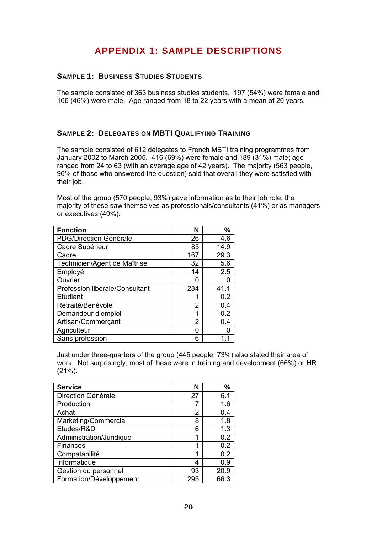## **APPENDIX 1: SAMPLE DESCRIPTIONS**

#### <span id="page-19-0"></span>**SAMPLE 1: BUSINESS STUDIES STUDENTS**

The sample consisted of 363 business studies students. 197 (54%) were female and 166 (46%) were male. Age ranged from 18 to 22 years with a mean of 20 years.

#### **SAMPLE 2: DELEGATES ON MBTI QUALIFYING TRAINING**

The sample consisted of 612 delegates to French MBTI training programmes from January 2002 to March 2005. 416 (69%) were female and 189 (31%) male; age ranged from 24 to 63 (with an average age of 42 years). The majority (563 people, 96% of those who answered the question) said that overall they were satisfied with their job.

Most of the group (570 people, 93%) gave information as to their job role; the majority of these saw themselves as professionals/consultants (41%) or as managers or executives (49%):

| <b>Fonction</b>                | N   | %    |
|--------------------------------|-----|------|
| <b>PDG/Direction Générale</b>  | 26  | 4.6  |
| Cadre Supérieur                | 85  | 14.9 |
| Cadre                          | 167 | 29.3 |
| Technicien/Agent de Maîtrise   | 32  | 5.6  |
| Employé                        | 14  | 2.5  |
| Ouvrier                        |     |      |
| Profession libérale/Consultant | 234 | 41.1 |
| Etudiant                       |     | 0.2  |
| Retraité/Bénévole              | 2   | 0.4  |
| Demandeur d'emploi             | 1   | 0.2  |
| Artisan/Commerçant             | 2   | 0.4  |
| Agriculteur                    | O   |      |
| Sans profession                | 6   |      |

Just under three-quarters of the group (445 people, 73%) also stated their area of work. Not surprisingly, most of these were in training and development (66%) or HR (21%):

| <b>Service</b>           |     | %    |
|--------------------------|-----|------|
| Direction Générale       | 27  | 6.1  |
| Production               |     | 1.6  |
| Achat                    | 2   | 0.4  |
| Marketing/Commercial     | 8   | 1.8  |
| Etudes/R&D               | 6   | 1.3  |
| Administration/Juridique |     | 0.2  |
| Finances                 |     | 0.2  |
| Compatabilité            |     | 0.2  |
| Informatique             | 4   | 0.9  |
| Gestion du personnel     | 93  | 20.9 |
| Formation/Développement  | 295 | 66.3 |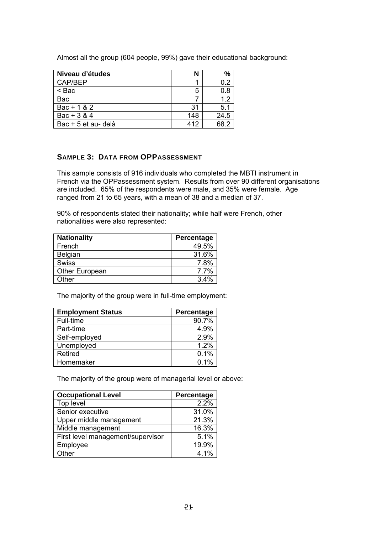<span id="page-20-0"></span>Almost all the group (604 people, 99%) gave their educational background:

| Niveau d'études     |     | %    |
|---------------------|-----|------|
| CAP/BEP             |     | በ 2  |
| < Bac               | 5   | 0.8  |
| Bac                 |     | 1.2  |
| $Bac + 1 & 2$       | 31  | 5.1  |
| Bac + $3 & 4$       | 148 | 24.5 |
| Bac + 5 et au- delà | 412 | RR 7 |

#### **SAMPLE 3: DATA FROM OPPASSESSMENT**

This sample consists of 916 individuals who completed the MBTI instrument in French via the OPPassessment system. Results from over 90 different organisations are included. 65% of the respondents were male, and 35% were female. Age ranged from 21 to 65 years, with a mean of 38 and a median of 37.

90% of respondents stated their nationality; while half were French, other nationalities were also represented:

| <b>Nationality</b>    | Percentage |
|-----------------------|------------|
| French                | 49.5%      |
| Belgian               | 31.6%      |
| <b>Swiss</b>          | 7.8%       |
| <b>Other European</b> | 7.7%       |
| Other                 | 3.4%       |

The majority of the group were in full-time employment:

| <b>Employment Status</b> | Percentage |
|--------------------------|------------|
| Full-time                | 90.7%      |
| Part-time                | 4.9%       |
| Self-employed            | 2.9%       |
| Unemployed               | 1.2%       |
| <b>Retired</b>           | 0.1%       |
| Homemaker                | $0.1\%$    |

The majority of the group were of managerial level or above:

| <b>Occupational Level</b>         | Percentage |
|-----------------------------------|------------|
| Top level                         | 2.2%       |
| Senior executive                  | 31.0%      |
| Upper middle management           | 21.3%      |
| Middle management                 | 16.3%      |
| First level management/supervisor | 5.1%       |
| Employee                          | 19.9%      |
| Other                             | 4 1%       |